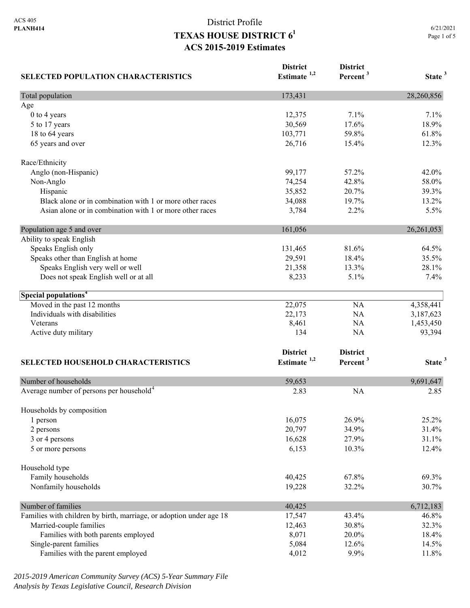| <b>SELECTED POPULATION CHARACTERISTICS</b>                          | <b>District</b><br>Estimate <sup>1,2</sup> | <b>District</b><br>Percent <sup>3</sup> | State <sup>3</sup> |
|---------------------------------------------------------------------|--------------------------------------------|-----------------------------------------|--------------------|
| Total population                                                    | 173,431                                    |                                         | 28,260,856         |
| Age                                                                 |                                            |                                         |                    |
| 0 to 4 years                                                        | 12,375                                     | 7.1%                                    | 7.1%               |
| 5 to 17 years                                                       | 30,569                                     | 17.6%                                   | 18.9%              |
| 18 to 64 years                                                      | 103,771                                    | 59.8%                                   | 61.8%              |
| 65 years and over                                                   | 26,716                                     | 15.4%                                   | 12.3%              |
| Race/Ethnicity                                                      |                                            |                                         |                    |
| Anglo (non-Hispanic)                                                | 99,177                                     | 57.2%                                   | 42.0%              |
| Non-Anglo                                                           | 74,254                                     | 42.8%                                   | 58.0%              |
| Hispanic                                                            | 35,852                                     | 20.7%                                   | 39.3%              |
| Black alone or in combination with 1 or more other races            | 34,088                                     | 19.7%                                   | 13.2%              |
| Asian alone or in combination with 1 or more other races            | 3,784                                      | 2.2%                                    | 5.5%               |
| Population age 5 and over                                           | 161,056                                    |                                         | 26, 261, 053       |
| Ability to speak English                                            |                                            |                                         |                    |
| Speaks English only                                                 | 131,465                                    | 81.6%                                   | 64.5%              |
| Speaks other than English at home                                   | 29,591                                     | 18.4%                                   | 35.5%              |
| Speaks English very well or well                                    | 21,358                                     | 13.3%                                   | 28.1%              |
| Does not speak English well or at all                               | 8,233                                      | 5.1%                                    | 7.4%               |
| Special populations <sup>4</sup>                                    |                                            |                                         |                    |
| Moved in the past 12 months                                         | 22,075                                     | <b>NA</b>                               | 4,358,441          |
| Individuals with disabilities                                       | 22,173                                     | NA                                      | 3,187,623          |
| Veterans                                                            | 8,461                                      | NA                                      | 1,453,450          |
| Active duty military                                                | 134                                        | NA                                      | 93,394             |
|                                                                     | <b>District</b>                            | <b>District</b>                         |                    |
| SELECTED HOUSEHOLD CHARACTERISTICS                                  | Estimate $1,2$                             | Percent <sup>3</sup>                    | State <sup>3</sup> |
| Number of households                                                | 59,653                                     |                                         | 9,691,647          |
| Average number of persons per household <sup>4</sup>                | 2.83                                       | <b>NA</b>                               | 2.85               |
| Households by composition                                           |                                            |                                         |                    |
| 1 person                                                            | 16,075                                     | 26.9%                                   | 25.2%              |
| 2 persons                                                           | 20,797                                     | 34.9%                                   | 31.4%              |
| 3 or 4 persons                                                      | 16,628                                     | 27.9%                                   | 31.1%              |
| 5 or more persons                                                   | 6,153                                      | 10.3%                                   | 12.4%              |
| Household type                                                      |                                            |                                         |                    |
| Family households                                                   | 40,425                                     | 67.8%                                   | 69.3%              |
| Nonfamily households                                                | 19,228                                     | 32.2%                                   | 30.7%              |
| Number of families                                                  | 40,425                                     |                                         | 6,712,183          |
| Families with children by birth, marriage, or adoption under age 18 | 17,547                                     | 43.4%                                   | 46.8%              |
| Married-couple families                                             | 12,463                                     | 30.8%                                   | 32.3%              |
| Families with both parents employed                                 | 8,071                                      | 20.0%                                   | 18.4%              |
| Single-parent families                                              | 5,084                                      | 12.6%                                   | 14.5%              |
| Families with the parent employed                                   | 4,012                                      | 9.9%                                    | 11.8%              |

*2015-2019 American Community Survey (ACS) 5-Year Summary File Analysis by Texas Legislative Council, Research Division*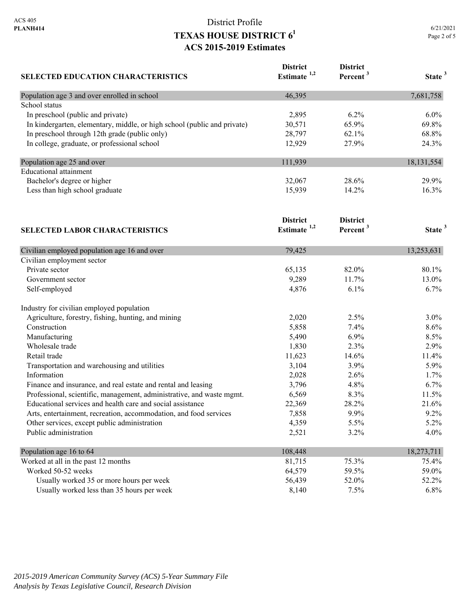| <b>SELECTED EDUCATION CHARACTERISTICS</b>                                | <b>District</b><br>Estimate $1,2$ | <b>District</b><br>Percent <sup>3</sup> | State <sup>3</sup> |
|--------------------------------------------------------------------------|-----------------------------------|-----------------------------------------|--------------------|
| Population age 3 and over enrolled in school                             | 46,395                            |                                         | 7,681,758          |
| School status                                                            |                                   |                                         |                    |
| In preschool (public and private)                                        | 2,895                             | 6.2%                                    | 6.0%               |
| In kindergarten, elementary, middle, or high school (public and private) | 30,571                            | 65.9%                                   | 69.8%              |
| In preschool through 12th grade (public only)                            | 28,797                            | 62.1%                                   | 68.8%              |
| In college, graduate, or professional school                             | 12,929                            | 27.9%                                   | 24.3%              |
| Population age 25 and over                                               | 111,939                           |                                         | 18,131,554         |
| <b>Educational attainment</b>                                            |                                   |                                         |                    |
| Bachelor's degree or higher                                              | 32,067                            | 28.6%                                   | 29.9%              |
| Less than high school graduate                                           | 15,939                            | 14.2%                                   | 16.3%              |
|                                                                          | <b>District</b>                   | <b>District</b>                         |                    |
| <b>SELECTED LABOR CHARACTERISTICS</b>                                    | Estimate $1,2$                    | Percent <sup>3</sup>                    | State <sup>3</sup> |
| Civilian employed population age 16 and over                             | 79,425                            |                                         | 13,253,631         |
| Civilian employment sector                                               |                                   |                                         |                    |
| Private sector                                                           | 65,135                            | 82.0%                                   | 80.1%              |
| Government sector                                                        | 9,289                             | 11.7%                                   | 13.0%              |
| Self-employed                                                            | 4,876                             | 6.1%                                    | 6.7%               |
| Industry for civilian employed population                                |                                   |                                         |                    |
| Agriculture, forestry, fishing, hunting, and mining                      | 2,020                             | 2.5%                                    | 3.0%               |
| Construction                                                             | 5,858                             | 7.4%                                    | 8.6%               |
| Manufacturing                                                            | 5,490                             | 6.9%                                    | 8.5%               |
| Wholesale trade                                                          | 1,830                             | 2.3%                                    | 2.9%               |
| Retail trade                                                             | 11,623                            | 14.6%                                   | 11.4%              |
| Transportation and warehousing and utilities                             | 3,104                             | 3.9%                                    | 5.9%               |
| Information                                                              | 2,028                             | 2.6%                                    | 1.7%               |
| Finance and insurance, and real estate and rental and leasing            | 3,796                             | 4.8%                                    | 6.7%               |
| Professional, scientific, management, administrative, and waste mgmt.    | 6,569                             | 8.3%                                    | 11.5%              |
| Educational services and health care and social assistance               | 22,369                            | 28.2%                                   | 21.6%              |
| Arts, entertainment, recreation, accommodation, and food services        | 7,858                             | 9.9%                                    | 9.2%               |
| Other services, except public administration                             | 4,359                             | 5.5%                                    | 5.2%               |
| Public administration                                                    | 2,521                             | 3.2%                                    | 4.0%               |
| Population age 16 to 64                                                  | 108,448                           |                                         | 18,273,711         |
| Worked at all in the past 12 months                                      | 81,715                            | 75.3%                                   | 75.4%              |
| Worked 50-52 weeks                                                       | 64,579                            | 59.5%                                   | 59.0%              |
| Usually worked 35 or more hours per week                                 | 56,439                            | 52.0%                                   | 52.2%              |
| Usually worked less than 35 hours per week                               | 8,140                             | 7.5%                                    | 6.8%               |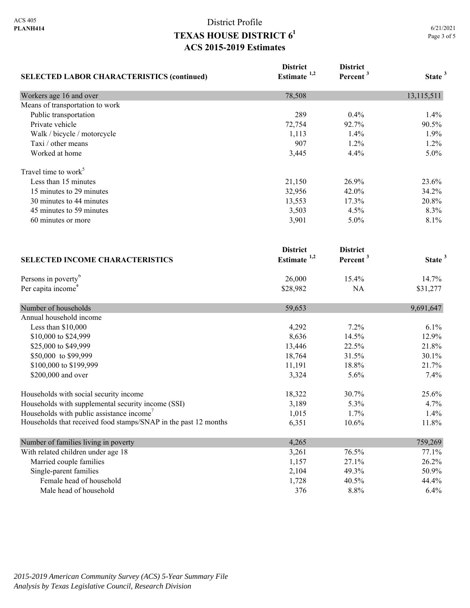| <b>SELECTED LABOR CHARACTERISTICS (continued)</b>               | <b>District</b><br>Estimate $1,2$ | <b>District</b><br>Percent <sup>3</sup> | State <sup>3</sup> |
|-----------------------------------------------------------------|-----------------------------------|-----------------------------------------|--------------------|
|                                                                 |                                   |                                         |                    |
| Means of transportation to work                                 |                                   |                                         |                    |
| Public transportation                                           | 289                               | 0.4%                                    | 1.4%               |
| Private vehicle                                                 | 72,754                            | 92.7%                                   | 90.5%              |
| Walk / bicycle / motorcycle                                     | 1,113                             | 1.4%                                    | 1.9%               |
| Taxi / other means                                              | 907                               | 1.2%                                    | 1.2%               |
| Worked at home                                                  | 3,445                             | 4.4%                                    | 5.0%               |
| Travel time to work <sup>5</sup>                                |                                   |                                         |                    |
| Less than 15 minutes                                            | 21,150                            | 26.9%                                   | 23.6%              |
| 15 minutes to 29 minutes                                        | 32,956                            | 42.0%                                   | 34.2%              |
| 30 minutes to 44 minutes                                        | 13,553                            | 17.3%                                   | 20.8%              |
| 45 minutes to 59 minutes                                        | 3,503                             | 4.5%                                    | 8.3%               |
| 60 minutes or more                                              | 3,901                             | 5.0%                                    | 8.1%               |
|                                                                 | <b>District</b>                   | <b>District</b>                         |                    |
| <b>SELECTED INCOME CHARACTERISTICS</b>                          | Estimate <sup>1,2</sup>           | Percent <sup>3</sup>                    | State <sup>3</sup> |
| Persons in poverty <sup>6</sup>                                 | 26,000                            | 15.4%                                   | 14.7%              |
| Per capita income <sup>4</sup>                                  | \$28,982                          | NA                                      | \$31,277           |
| Number of households                                            | 59,653                            |                                         | 9,691,647          |
| Annual household income                                         |                                   |                                         |                    |
| Less than \$10,000                                              | 4,292                             | 7.2%                                    | 6.1%               |
| \$10,000 to \$24,999                                            | 8,636                             | 14.5%                                   | 12.9%              |
| \$25,000 to \$49,999                                            | 13,446                            | 22.5%                                   | 21.8%              |
| \$50,000 to \$99,999                                            | 18,764                            | 31.5%                                   | 30.1%              |
| \$100,000 to \$199,999                                          | 11,191                            | 18.8%                                   | 21.7%              |
| \$200,000 and over                                              | 3,324                             | 5.6%                                    | 7.4%               |
| Households with social security income                          | 18,322                            | 30.7%                                   | 25.6%              |
| Households with supplemental security income (SSI)              | 3,189                             | 5.3%                                    | 4.7%               |
| Households with public assistance income'                       | 1,015                             | 1.7%                                    | 1.4%               |
| Households that received food stamps/SNAP in the past 12 months | 6,351                             | 10.6%                                   | 11.8%              |
| Number of families living in poverty                            | 4,265                             |                                         | 759,269            |
| With related children under age 18                              | 3,261                             | 76.5%                                   | 77.1%              |
| Married couple families                                         | 1,157                             | 27.1%                                   | 26.2%              |
| Single-parent families                                          | 2,104                             | 49.3%                                   | 50.9%              |
| Female head of household                                        | 1,728                             | 40.5%                                   | 44.4%              |
| Male head of household                                          | 376                               | 8.8%                                    | 6.4%               |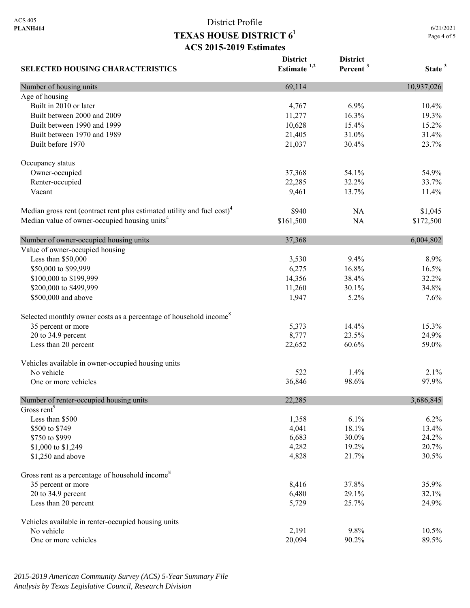6/21/2021 Page 4 of 5

| <b>SELECTED HOUSING CHARACTERISTICS</b>                                             | <b>District</b><br>Estimate $1,2$ | <b>District</b><br>Percent <sup>3</sup> | State <sup>3</sup> |
|-------------------------------------------------------------------------------------|-----------------------------------|-----------------------------------------|--------------------|
| Number of housing units                                                             | 69,114                            |                                         | 10,937,026         |
| Age of housing                                                                      |                                   |                                         |                    |
| Built in 2010 or later                                                              | 4,767                             | 6.9%                                    | 10.4%              |
| Built between 2000 and 2009                                                         | 11,277                            | 16.3%                                   | 19.3%              |
| Built between 1990 and 1999                                                         | 10,628                            | 15.4%                                   | 15.2%              |
| Built between 1970 and 1989                                                         | 21,405                            | 31.0%                                   | 31.4%              |
| Built before 1970                                                                   | 21,037                            | 30.4%                                   | 23.7%              |
| Occupancy status                                                                    |                                   |                                         |                    |
| Owner-occupied                                                                      | 37,368                            | 54.1%                                   | 54.9%              |
| Renter-occupied                                                                     | 22,285                            | 32.2%                                   | 33.7%              |
| Vacant                                                                              | 9,461                             | 13.7%                                   | 11.4%              |
| Median gross rent (contract rent plus estimated utility and fuel cost) <sup>4</sup> | \$940                             | NA                                      | \$1,045            |
| Median value of owner-occupied housing units <sup>4</sup>                           | \$161,500                         | <b>NA</b>                               | \$172,500          |
| Number of owner-occupied housing units                                              | 37,368                            |                                         | 6,004,802          |
| Value of owner-occupied housing                                                     |                                   |                                         |                    |
| Less than \$50,000                                                                  | 3,530                             | 9.4%                                    | 8.9%               |
| \$50,000 to \$99,999                                                                | 6,275                             | 16.8%                                   | 16.5%              |
| \$100,000 to \$199,999                                                              | 14,356                            | 38.4%                                   | 32.2%              |
| \$200,000 to \$499,999                                                              | 11,260                            | 30.1%                                   | 34.8%              |
| \$500,000 and above                                                                 | 1,947                             | 5.2%                                    | 7.6%               |
| Selected monthly owner costs as a percentage of household income <sup>8</sup>       |                                   |                                         |                    |
| 35 percent or more                                                                  | 5,373                             | 14.4%                                   | 15.3%              |
| 20 to 34.9 percent                                                                  | 8,777                             | 23.5%                                   | 24.9%              |
| Less than 20 percent                                                                | 22,652                            | 60.6%                                   | 59.0%              |
| Vehicles available in owner-occupied housing units                                  |                                   |                                         |                    |
| No vehicle                                                                          | 522                               | 1.4%                                    | 2.1%               |
| One or more vehicles                                                                | 36,846                            | 98.6%                                   | 97.9%              |
| Number of renter-occupied housing units                                             | 22,285                            |                                         | 3,686,845          |
| Gross rent <sup>9</sup>                                                             |                                   |                                         |                    |
| Less than \$500                                                                     | 1,358                             | 6.1%                                    | 6.2%               |
| \$500 to \$749                                                                      | 4,041                             | 18.1%                                   | 13.4%              |
| \$750 to \$999                                                                      | 6,683                             | 30.0%                                   | 24.2%              |
| \$1,000 to \$1,249                                                                  | 4,282                             | 19.2%                                   | 20.7%              |
| \$1,250 and above                                                                   | 4,828                             | 21.7%                                   | 30.5%              |
| Gross rent as a percentage of household income <sup>8</sup>                         |                                   |                                         |                    |
| 35 percent or more                                                                  | 8,416                             | 37.8%                                   | 35.9%              |
| 20 to 34.9 percent                                                                  | 6,480                             | 29.1%                                   | 32.1%              |
| Less than 20 percent                                                                | 5,729                             | 25.7%                                   | 24.9%              |
| Vehicles available in renter-occupied housing units                                 |                                   |                                         |                    |
| No vehicle                                                                          | 2,191                             | 9.8%                                    | 10.5%              |
| One or more vehicles                                                                | 20,094                            | 90.2%                                   | 89.5%              |